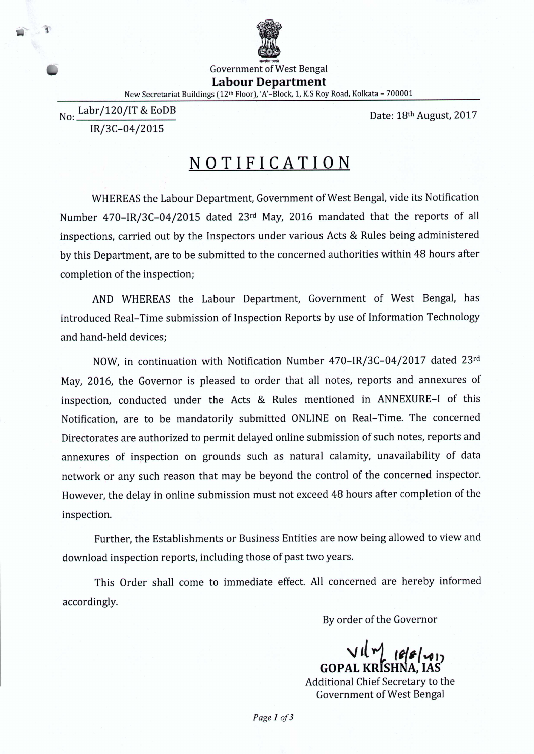

Government of West Bengal **Labour Department** New Secretariat Buildings (12th Floor), 'A'-Block, 1, K.S Roy Road, Kolkata - 700001

No: Labr/120/IT & EoDB IR/3C-04/2015

Date: 18th August, 2017

## **NOTIFICATION**

WHEREAS the Labour Department, Government of West Bengal, vide its Notification Number 470-IR/3C-04/2015 dated 23rd May, 2016 mandated that the reports of all inspections, carried out by the Inspectors under various Acts & Rules being administered by this Department, are to be submitted to the concerned authorities within 48 hours after completion of the inspection;

AND WHEREAS the Labour Department, Government of West Bengal, has introduced Real-Time submission of Inspection Reports by use of Information Technology and hand-held devices;

NOW, in continuation with Notification Number 470-IR/3C-04/2017 dated 23rd May, 2016, the Governor is pleased to order that all notes, reports and annexures of inspection, conducted under the Acts & Rules mentioned in ANNEXURE-I of this Notification, are to be mandatorily submitted ONLINE on Real-Time. The concerned Directorates are authorized to permit delayed online submission of such notes, reports and annexures of inspection on grounds such as natural calamity, unavailability of data network or any such reason that may be beyond the control of the concerned inspector. However, the delay in online submission must not exceed 48 hours after completion of the inspection.

Further, the Establishments or Business Entities are now being allowed to view and download inspection reports, including those of past two years.

This Order shall come to immediate effect. All concerned are hereby informed accordingly.

By order of the Governor

*\J'{-.1 "'''/'''')* **GOPAL KRtSHNA, lAS**

Additional Chief Secretary to the Government of West Bengal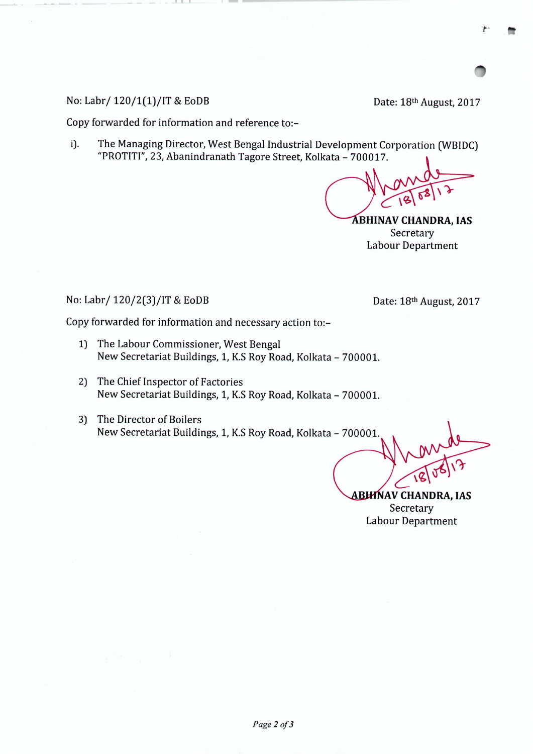No: Labr/ 120/1(1)/IT & EoDB Date: 18<sup>th</sup> August, 2017

**----- - - \_..**

- ------- -

Copy forwarded for information and reference to:-

i). The Managing Director, West Bengal Industrial Development Corporation (WBIDC) "PROTITI",23, Abanindranath Tagore Street, Kolkata - 700017.

**ABHINAV CHANDRA, IAS** Secretary Labour Department

## No: Labr/ 120/2(3)/IT & EoDB Date: 18<sup>th</sup> August, 2017

**AV CHANDRA, lAS** Secretary Labour Department

Copy forwarded for information and necessary action to:-

- 1) The Labour Commissioner, West Bengal New Secretariat Buildings, 1, K.S Roy Road, Kolkata - 700001.
- 2) The Chief Inspector of Factories New Secretariat Buildings, 1, K.S Roy Road, Kolkata - 700001.
- 3) The Director of Boilers New Secretariat Buildings, 1, K.S Roy Road, Kolkata - 700001.

*Page2of3*